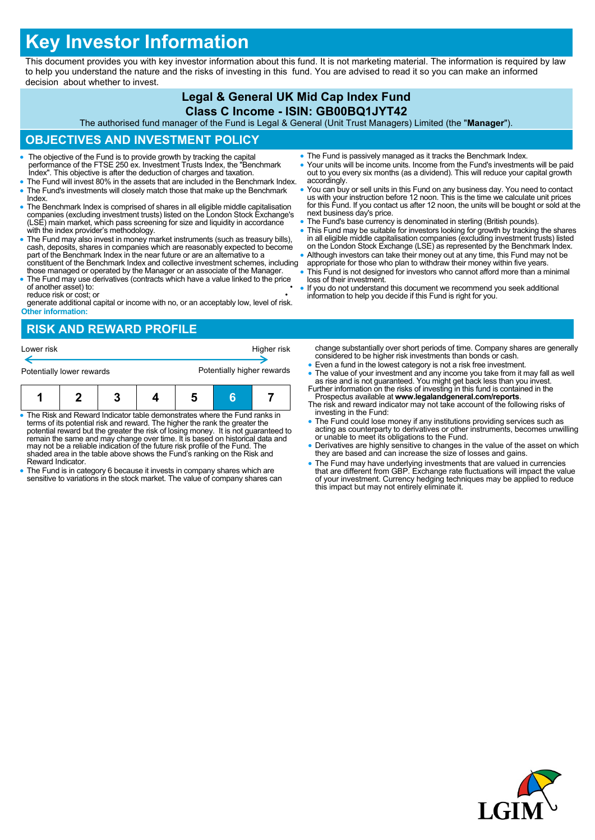# **Key Investor Information**

This document provides you with key investor information about this fund. It is not marketing material. The information is required by law to help you understand the nature and the risks of investing in this fund. You are advised to read it so you can make an informed decision about whether to invest.

### **Legal & General UK Mid Cap Index Fund Class C Income - ISIN: GB00BQ1JYT42**

The authorised fund manager of the Fund is Legal & General (Unit Trust Managers) Limited (the "**Manager**").

## **OBJECTIVES AND INVESTMENT POLICY**

- The objective of the Fund is to provide growth by tracking the capital performance of the FTSE 250 ex. Investment Trusts Index, the "Benchmark Index". This objective is after the deduction of charges and taxation.
- The Fund will invest 80% in the assets that are included in the Benchmark Index. The Fund's investments will closely match those that make up the Benchmark Index.
- The Benchmark Index is comprised of shares in all eligible middle capitalisation companies (excluding investment trusts) listed on the London Stock Exchange's (LSE) main market, which pass screening for size and liquidity in accordance with the index provider's methodology.
- The Fund may also invest in money market instruments (such as treasury bills), cash, deposits, shares in companies which are reasonably expected to become part of the Benchmark Index in the near future or are an alternat constituent of the Benchmark Index and collective investment schemes, including
- those managed or operated by the Manager or an associate of the Manager. The Fund may use derivatives (contracts which have a value linked to the price of another asset) to:

reduce risk or cost; or • generate additional capital or income with no, or an acceptably low, level of risk. **Other information:**

- The Fund is passively managed as it tracks the Benchmark Index.
- Your units will be income units. Income from the Fund's investments will be paid out to you every six months (as a dividend). This will reduce your capital growth accordingly.
- You can buy or sell units in this Fund on any business day. You need to contact us with your instruction before 12 noon. This is the time we calculate unit prices for this Fund. If you contact us after 12 noon, the units will be bought or sold at the next business day's price.
- The Fund's base currency is denominated in sterling (British pounds).
- This Fund may be suitable for investors looking for growth by tracking the shares in all eligible middle capitalisation companies (excluding investment trusts) listed on the London Stock Exchange (LSE) as represented by the Benchmark Index.
- Although investors can take their money out at any time, this Fund may not be appropriate for those who plan to withdraw their money within five years.
- This Fund is not designed for investors who cannot afford more than a minimal loss of their investment.
- If you do not understand this document we recommend you seek additional information to help you decide if this Fund is right for you.

# **RISK AND REWARD PROFILE**



- The Risk and Reward Indicator table demonstrates where the Fund ranks in terms of its potential risk and reward. The higher the rank the greater the potential reward but the greater the risk of losing money. It is not guaranteed to remain the same and may change over time. It is based on historical data and may not be a reliable indication of the future risk profile of the Fund. The shaded area in the table above shows the Fund's ranking on the Risk and Reward Indicator.
- The Fund is in category 6 because it invests in company shares which are sensitive to variations in the stock market. The value of company shares can
- change substantially over short periods of time. Company shares are generally considered to be higher risk investments than bonds or cash.
- Even a fund in the lowest category is not a risk free investment. • The value of your investment and any income you take from it may fall as well as rise and is not guaranteed. You might get back less than you invest.<br>Further information on the risks of investing in this fund is containe
- Prospectus available at **www.legalandgeneral.com/reports**.
- The risk and reward indicator may not take account of the following risks of investing in the Fund:
- The Fund could lose money if any institutions providing services such as acting as counterparty to derivatives or other instruments, becomes unwilling or unable to meet its obligations to the Fund.
- Derivatives are highly sensitive to changes in the value of the asset on which they are based and can increase the size of losses and gains.
- The Fund may have underlying investments that are valued in currencies that are different from GBP. Exchange rate fluctuations will impact the value of your investment. Currency hedging techniques may be applied to reduce this impact but may not entirely eliminate it.